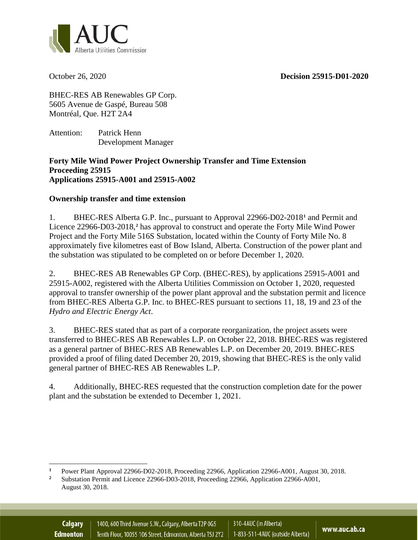October 26, 2020 **Decision 25915-D01-2020**



BHEC-RES AB Renewables GP Corp. 5605 Avenue de Gaspé, Bureau 508 Montréal, Que. H2T 2A4

Attention: Patrick Henn Development Manager

## **Forty Mile Wind Power Project Ownership Transfer and Time Extension Proceeding 25915 Applications 25915-A001 and 25915-A002**

## **Ownership transfer and time extension**

1. BHEC-RES Alberta G.P. Inc., pursuant to Approval 22966-D02-2018**[1](#page-0-0)** and Permit and Licence 22966-D03-2018,**[2](#page-0-1)** has approval to construct and operate the Forty Mile Wind Power Project and the Forty Mile 516S Substation, located within the County of Forty Mile No. 8 approximately five kilometres east of Bow Island, Alberta. Construction of the power plant and the substation was stipulated to be completed on or before December 1, 2020.

2. BHEC-RES AB Renewables GP Corp. (BHEC-RES), by applications 25915-A001 and 25915-A002, registered with the Alberta Utilities Commission on October 1, 2020, requested approval to transfer ownership of the power plant approval and the substation permit and licence from BHEC-RES Alberta G.P. Inc. to BHEC-RES pursuant to sections 11, 18, 19 and 23 of the *Hydro and Electric Energy Act*.

3. BHEC-RES stated that as part of a corporate reorganization, the project assets were transferred to BHEC-RES AB Renewables L.P. on October 22, 2018. BHEC-RES was registered as a general partner of BHEC-RES AB Renewables L.P. on December 20, 2019. BHEC-RES provided a proof of filing dated December 20, 2019, showing that BHEC-RES is the only valid general partner of BHEC-RES AB Renewables L.P.

4. Additionally, BHEC-RES requested that the construction completion date for the power plant and the substation be extended to December 1, 2021.

<span id="page-0-0"></span> $\overline{a}$ <sup>1</sup> Power Plant Approval 22966-D02-2018, Proceeding 22966, Application 22966-A001, August 30, 2018.<br><sup>2</sup> Substation Dampit and Ligates 22066, D02, 2018, Proceeding 22066, Application 22066, A001

<span id="page-0-1"></span>**<sup>2</sup>** Substation Permit and Licence 22966-D03-2018, Proceeding 22966, Application 22966-A001, August 30, 2018.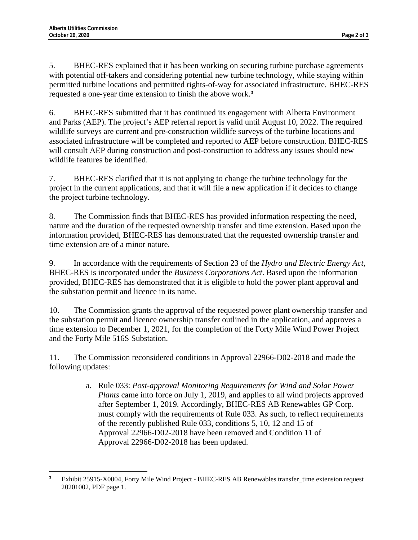5. BHEC-RES explained that it has been working on securing turbine purchase agreements with potential off-takers and considering potential new turbine technology, while staying within permitted turbine locations and permitted rights-of-way for associated infrastructure. BHEC-RES requested a one-year time extension to finish the above work.**[3](#page-1-0)**

6. BHEC-RES submitted that it has continued its engagement with Alberta Environment and Parks (AEP). The project's AEP referral report is valid until August 10, 2022. The required wildlife surveys are current and pre-construction wildlife surveys of the turbine locations and associated infrastructure will be completed and reported to AEP before construction. BHEC-RES will consult AEP during construction and post-construction to address any issues should new wildlife features be identified.

7. BHEC-RES clarified that it is not applying to change the turbine technology for the project in the current applications, and that it will file a new application if it decides to change the project turbine technology.

8. The Commission finds that BHEC-RES has provided information respecting the need, nature and the duration of the requested ownership transfer and time extension. Based upon the information provided, BHEC-RES has demonstrated that the requested ownership transfer and time extension are of a minor nature.

9. In accordance with the requirements of Section 23 of the *Hydro and Electric Energy Act*, BHEC-RES is incorporated under the *Business Corporations Act*. Based upon the information provided, BHEC-RES has demonstrated that it is eligible to hold the power plant approval and the substation permit and licence in its name.

10. The Commission grants the approval of the requested power plant ownership transfer and the substation permit and licence ownership transfer outlined in the application, and approves a time extension to December 1, 2021, for the completion of the Forty Mile Wind Power Project and the Forty Mile 516S Substation.

11. The Commission reconsidered conditions in Approval 22966-D02-2018 and made the following updates:

> a. Rule 033: *Post-approval Monitoring Requirements for Wind and Solar Power Plants* came into force on July 1, 2019, and applies to all wind projects approved after September 1, 2019. Accordingly, BHEC-RES AB Renewables GP Corp. must comply with the requirements of Rule 033. As such, to reflect requirements of the recently published Rule 033, conditions 5, 10, 12 and 15 of Approval 22966-D02-2018 have been removed and Condition 11 of Approval 22966-D02-2018 has been updated.

<span id="page-1-0"></span> $\overline{a}$ **<sup>3</sup>** Exhibit 25915-X0004, Forty Mile Wind Project - BHEC-RES AB Renewables transfer\_time extension request 20201002, PDF page 1.